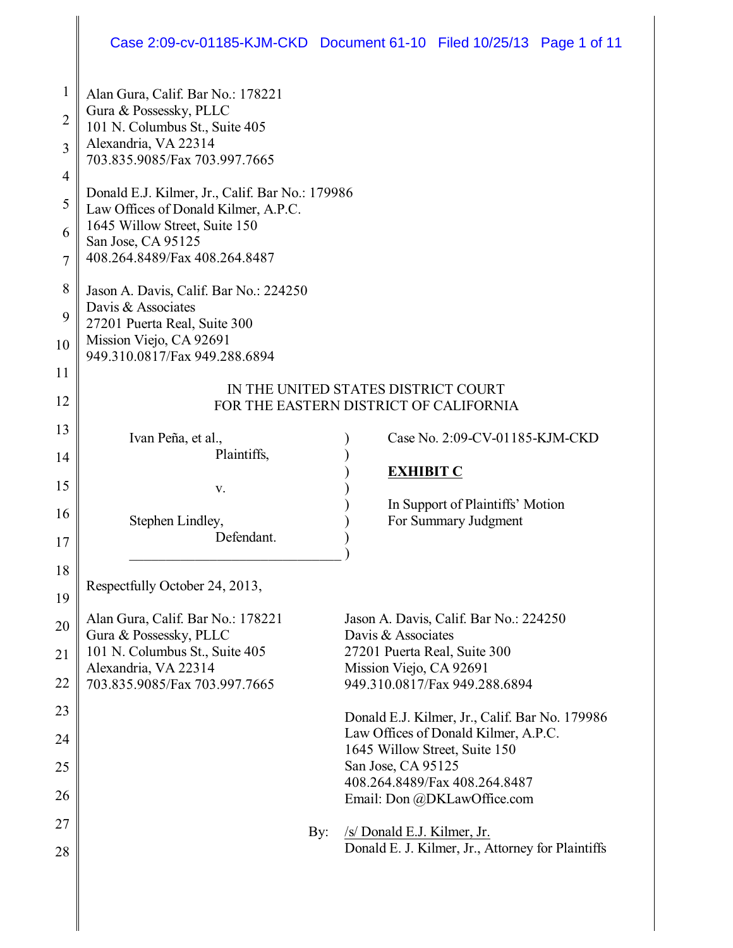# Case 2:09-cv-01185-KJM-CKD Document 61-10 Filed 10/25/13 Page 1 of 11

| $\mathbf{1}$   | Alan Gura, Calif. Bar No.: 178221                                                       |                                                                                        |
|----------------|-----------------------------------------------------------------------------------------|----------------------------------------------------------------------------------------|
| $\overline{c}$ | Gura & Possessky, PLLC                                                                  |                                                                                        |
|                | 101 N. Columbus St., Suite 405<br>Alexandria, VA 22314                                  |                                                                                        |
| 3              | 703.835.9085/Fax 703.997.7665                                                           |                                                                                        |
| $\overline{4}$ |                                                                                         |                                                                                        |
| 5              | Donald E.J. Kilmer, Jr., Calif. Bar No.: 179986<br>Law Offices of Donald Kilmer, A.P.C. |                                                                                        |
| 6              | 1645 Willow Street, Suite 150                                                           |                                                                                        |
| 7              | San Jose, CA 95125<br>408.264.8489/Fax 408.264.8487                                     |                                                                                        |
|                |                                                                                         |                                                                                        |
| 8              | Jason A. Davis, Calif. Bar No.: 224250<br>Davis & Associates                            |                                                                                        |
| 9              | 27201 Puerta Real, Suite 300                                                            |                                                                                        |
| 10             | Mission Viejo, CA 92691<br>949.310.0817/Fax 949.288.6894                                |                                                                                        |
| 11             |                                                                                         |                                                                                        |
| 12             | IN THE UNITED STATES DISTRICT COURT<br>FOR THE EASTERN DISTRICT OF CALIFORNIA           |                                                                                        |
|                |                                                                                         |                                                                                        |
| 13             | Ivan Peña, et al.,                                                                      | Case No. 2:09-CV-01185-KJM-CKD                                                         |
| 14             | Plaintiffs,                                                                             | <b>EXHIBIT C</b>                                                                       |
| 15             | V.                                                                                      |                                                                                        |
| 16             | Stephen Lindley,                                                                        | In Support of Plaintiffs' Motion<br>For Summary Judgment                               |
| 17             | Defendant.                                                                              |                                                                                        |
| 18             |                                                                                         |                                                                                        |
|                | Respectfully October 24, 2013,                                                          |                                                                                        |
| 19             | Alan Gura, Calif. Bar No.: 178221                                                       | Jason A. Davis, Calif. Bar No.: 224250                                                 |
| 20             | Gura & Possessky, PLLC                                                                  | Davis & Associates                                                                     |
| 21             | 101 N. Columbus St., Suite 405                                                          | 27201 Puerta Real, Suite 300                                                           |
| 22             | Alexandria, VA 22314<br>703.835.9085/Fax 703.997.7665                                   | Mission Viejo, CA 92691<br>949.310.0817/Fax 949.288.6894                               |
| 23             |                                                                                         |                                                                                        |
|                |                                                                                         | Donald E.J. Kilmer, Jr., Calif. Bar No. 179986<br>Law Offices of Donald Kilmer, A.P.C. |
| 24             |                                                                                         | 1645 Willow Street, Suite 150                                                          |
| 25             |                                                                                         | San Jose, CA 95125<br>408.264.8489/Fax 408.264.8487                                    |
| 26             |                                                                                         | Email: Don @DKLawOffice.com                                                            |
| 27             | By:                                                                                     | /s/ Donald E.J. Kilmer, Jr.                                                            |
| 28             |                                                                                         | Donald E. J. Kilmer, Jr., Attorney for Plaintiffs                                      |
|                |                                                                                         |                                                                                        |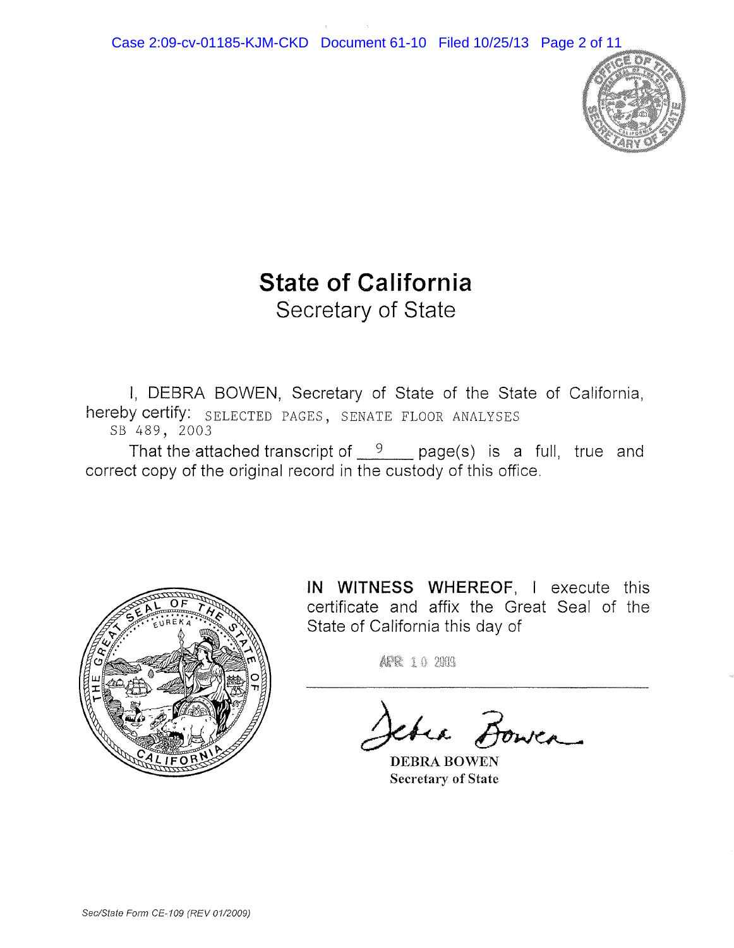

# **State of California** Secretary of State

I, DEBRA BOWEN, Secretary of State of the State of California, hereby certify: SELECTED PAGES, SENATE FLOOR ANALYSES SB 489, 2003

That the attached transcript of  $9$  page(s) is a full, true and correct copy of the original record in the custody of this office.



**IN WITNESS** WHEREOF, I execute this certificate and affix the Great Seal of the State of California this day of

APR 10 2009

chea Bower

DEBRA BOWEN Secretary of State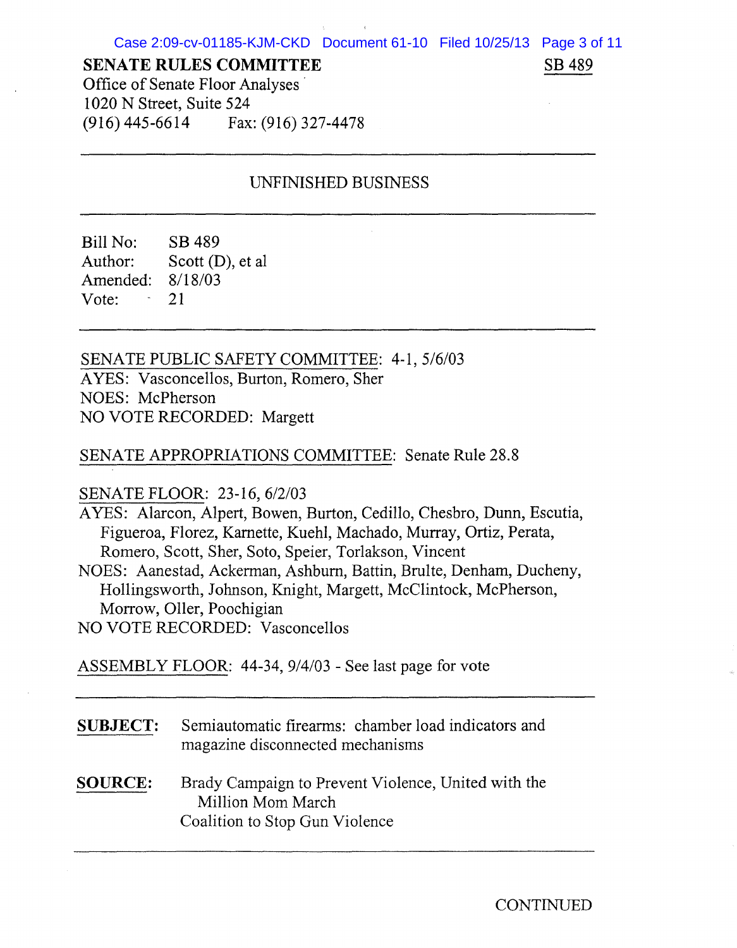#### **SENATE RULES COMMITTEE**

SB 489

Office of Senate Floor Analyses' 1020 N Street, Suite 524 (916) 445-6614 Fax: (916) 327-4478

# UNFINISHED BUSINESS

Bill No: SB 489 Author: Scott (D), et al Amended: 8/18/03 Vote:  $-21$ 

SENATE PUBLIC SAFETY COMMITTEE: 4-1, 5/6/03 AYES: Vasconcellos, Burton, Romero, Sher NOES: McPherson NO VOTE RECORDED: Margett

## SENATE APPROPRIATIONS COMMITTEE: Senate Rule 28.8

#### SENATE FLOOR: 23-16, 6/2/03

AYES: Alarcon, Alpert, Bowen, Burton, Cedillo, Chesbro, Dunn, Escutia, Figueroa, Florez, Karnette, Kuehl, Machado, Murray, Ortiz, Perata, Romero, Scott, Sher, Soto, Speier, Torlakson, Vincent

NOES: Aanestad, Ackennan, Ashburn, Battin, Brulte, Denham, Ducheny, Hollingsworth, Johnson, Knight, Margett, McClintock, McPherson, Morrow, Oller, Poochigian

NO VOTE RECORDED: Vasconcellos

ASSEMBLY FLOOR: 44-34, 9/4/03 - See last page for vote

- **SUBJECT:** Semiautomatic firearms: chamber load indicators and magazine disconnected mechanisms
- **SOURCE:** Brady Campaign to Prevent Violence, United with the Million Mom March Coalition to Stop Gun Violence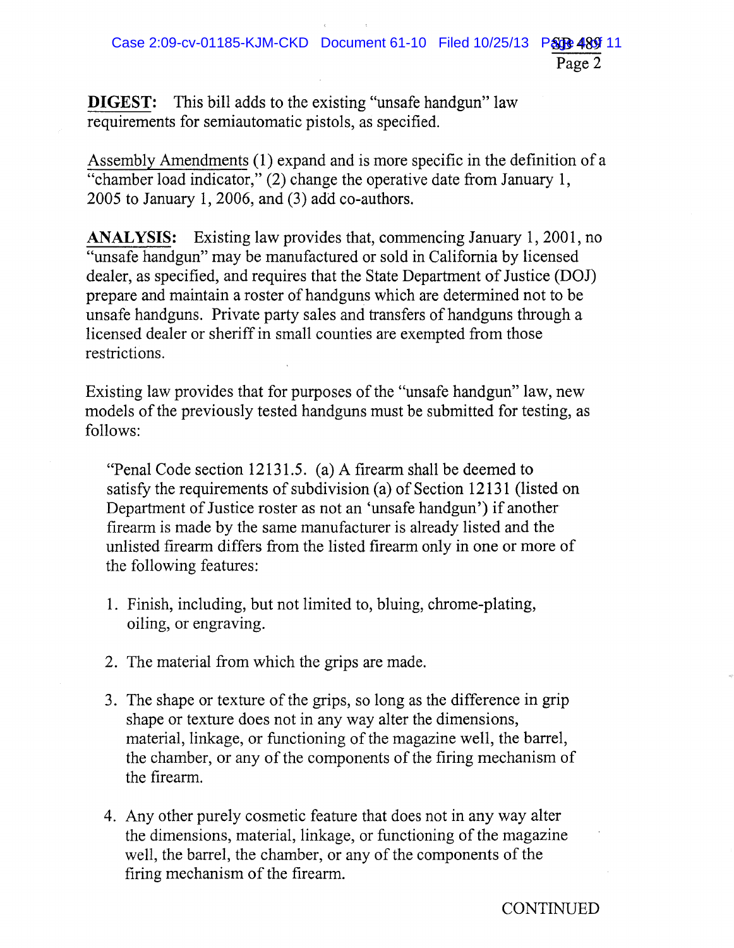**DIGEST:** This bill adds to the existing "unsafe handgun" law requirements for semiautomatic pistols, as specified.

Assembly Amendments (1) expand and is more specific in the definition of a "chamber load indicator," (2) change the operative date from January 1, 2005 to January 1,2006, and (3) add co-authors.

**ANALYSIS:** Existing law provides that, commencing January 1, 2001, no "unsafe handgun" may be manufactured or sold in California by licensed dealer, as specified, and requires that the State Department of Justice (DOJ) prepare and maintain a roster of handguns which are determined not to be unsafe handguns. Private party sales and transfers of handguns through a licensed dealer or sheriff in small counties are exempted from those restrictions.

Existing law provides that for purposes of the "unsafe handgun" law, new models of the previously tested handguns must be submitted for testing, as follows:

"Penal Code section 12131.5. (a) A firearm shall be deemed to satisfy the requirements of subdivision (a) of Section 12131 (listed on Department of Justice roster as not an 'unsafe handgun') if another firearm is made by the same manufacturer is already listed and the unlisted firearm differs from the listed firearm only in one or more of the following features:

- 1. Finish, including, but not limited to, bluing, chrome-plating, oiling, or engraving.
- 2. The material from which the grips are made.
- 3. The shape or texture of the grips, so long as the difference in grip shape or texture does not in any way alter the dimensions, material, linkage, or functioning of the magazine well, the barrel, the chamber, or any of the components of the firing mechanism of the firearm.
- 4. Any other purely cosmetic feature that does not in any way alter the dimensions, material, linkage, or functioning of the magazine well, the barrel, the chamber, or any of the components of the firing mechanism of the firearm.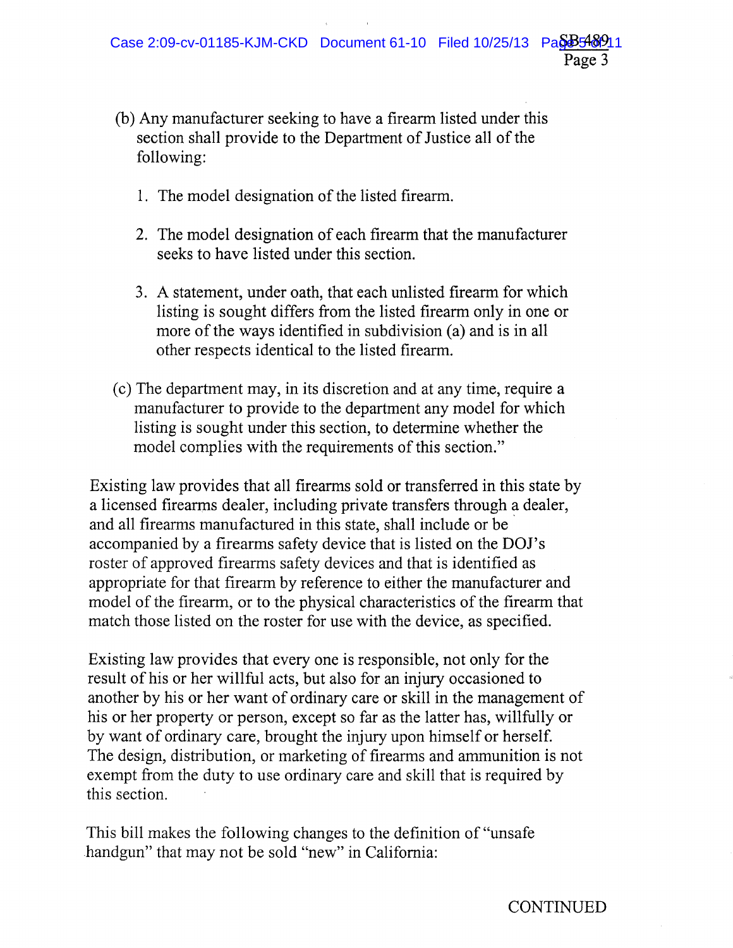- (b) Any manufacturer seeking to have a firearm listed under this section shall provide to the Department of Justice all of the following:
	- 1. The model designation of the listed firearm.
	- 2. The model designation of each firearm that the manufacturer seeks to have listed under this section.
	- 3. A statement, under oath, that each unlisted firearm for which listing is sought differs from the listed firearm only in one or more of the ways identified in subdivision (a) and is in all other respects identical to the listed firearm.
- (c) The department may, in its discretion and at any time, require a manufacturer to provide to the department any model for which listing is sought under this section, to determine whether the model complies with the requirements of this section."

Existing law provides that all firearms sold or transferred in this state by a licensed firearms dealer, including private transfers through a dealer, and all firearms manufactured in this state, shall include or be accompanied by a firearms safety device that is listed on the DOl's roster of approved firearms safety devices and that is identified as appropriate for that firearm by reference to either the manufacturer and model of the firearm, or to the physical characteristics of the firearm that match those listed on the roster for use with the device, as specified.

Existing law provides that every one is responsible, not only for the result of his or her willful acts, but also for an injury occasioned to another by his or her want of ordinary care or skill in the management of his or her property or person, except so far as the latter has, willfully or by want of ordinary care, brought the injury upon himself or herself. The design, distribution, or marketing of firearms and ammunition is not exempt from the duty to use ordinary care and skill that is required by this section.

This bill makes the following changes to the definition of "unsafe handgun" that may not be sold "new" in California: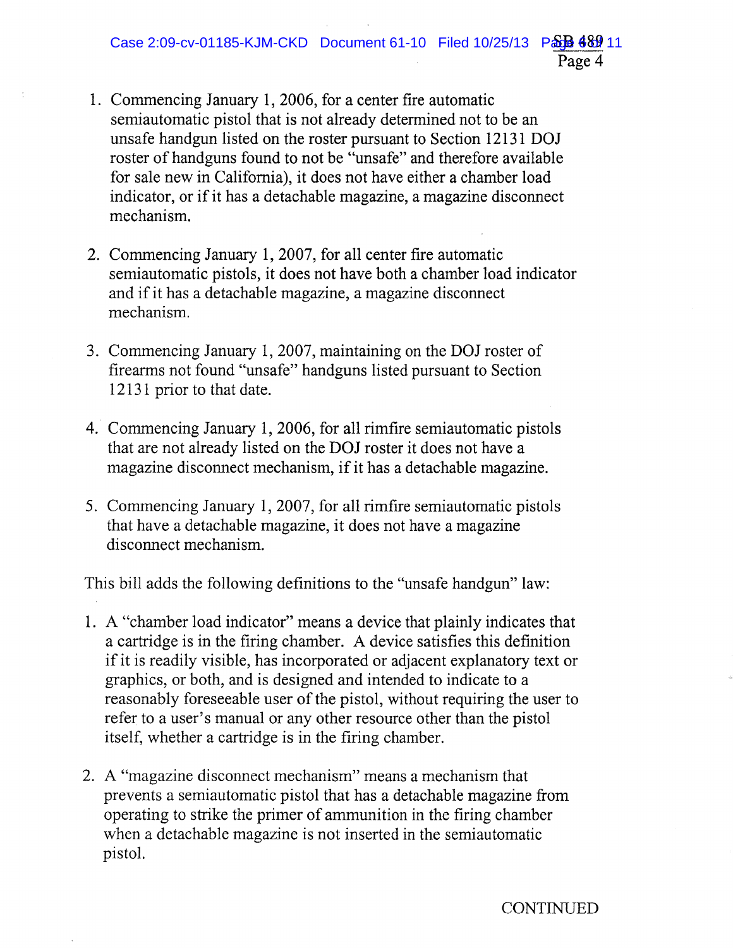- 1. Commencing January 1, 2006, for a center fire automatic semiautomatic pistol that is not already determined not to be an unsafe handgun listed on the roster pursuant to Section 12131 DOJ roster of handguns found to not be "unsafe" and therefore available for sale new in California), it does not have either a chamber load indicator, or if it has a detachable magazine, a magazine disconnect mechanism.
- 2. Commencing January 1, 2007, for all center fire automatic semiautomatic pistols, it does not have both a chamber load indicator and if it has a detachable magazine, a magazine disconnect mechanism.
- 3. Commencing January 1,2007, maintaining on the DOJ roster of firearms not found "unsafe" handguns listed pursuant to Section 12131 prior to that date.
- 4. Commencing January 1, 2006, for all rimfire semiautomatic pistols that are not already listed on the DOJ roster it does not have a magazine disconnect mechanism, if it has a detachable magazine.
- 5. Commencing January 1, 2007, for all rimfire semiautomatic pistols that have a detachable magazine, it does not have a magazine disconnect mechanism.

This bill adds the following definitions to the "unsafe handgun" law:

- 1. A "chamber load indicator" means a device that plainly indicates that a cartridge is in the firing chamber. A device satisfies this definition if it is readily visible, has incorporated or adjacent explanatory text or graphics, or both, and is designed and intended to indicate to a reasonably fore seeable user of the pistol, without requiring the user to refer to a user's manual or any other resource other than the pistol itself, whether a cartridge is in the firing chamber.
- 2. A "magazine disconnect mechanism" means a mechanism that prevents a semiautomatic pistol that has a detachable magazine from operating to strike the primer of ammunition in the firing chamber when a detachable magazine is not inserted in the semiautomatic pistol.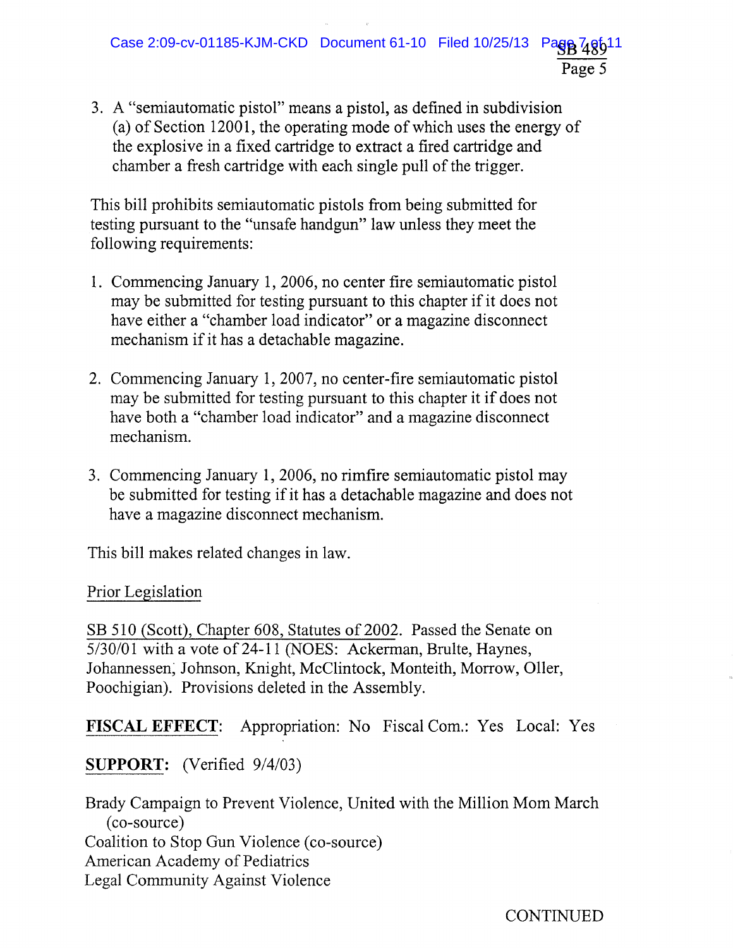3. A "semiautomatic pistol" means a pistol, as defined in subdivision (a) of Section 12001, the operating mode of which uses the energy of the explosive in a fixed cartridge to extract a fired cartridge and chamber a fresh cartridge with each single pull of the trigger.

This bill prohibits semiautomatic pistols from being submitted for testing pursuant to the "unsafe handgun" law unless they meet the following requirements:

- 1. Commencing January 1, 2006, no center fire semiautomatic pistol may be submitted for testing pursuant to this chapter if it does not have either a "chamber load indicator" or a magazine disconnect mechanism if it has a detachable magazine.
- 2. Commencing January 1,2007, no center-fire semiautomatic pistol may be submitted for testing pursuant to this chapter it if does not have both a "chamber load indicator" and a magazine disconnect mechanism.
- 3. Commencing January 1,2006, no rimfire semiautomatic pistol may be submitted for testing if it has a detachable magazine and does not have a magazine disconnect mechanism.

This bill makes related changes in law.

Prior Legislation

SB 510 (Scott), Chapter 608, Statutes of 2002. Passed the Senate on 5/30/01 with a vote of 24-11 (NOES: Ackerman, Brulte, Haynes, Johannessen; Johnson, Knight, McClintock, Monteith, Morrow, Oller, Poochigian). Provisions deleted in the Assembly.

FISCAL EFFECT: Appropriation: No Fiscal Com.: Yes Local: Yes

SUPPORT: (Verified 9/4/03)

Brady Campaign to Prevent Violence, United with the Million Mom March (co-source) Coalition to Stop Gun Violence (co-source) American Academy of Pediatrics Legal Community Against Violence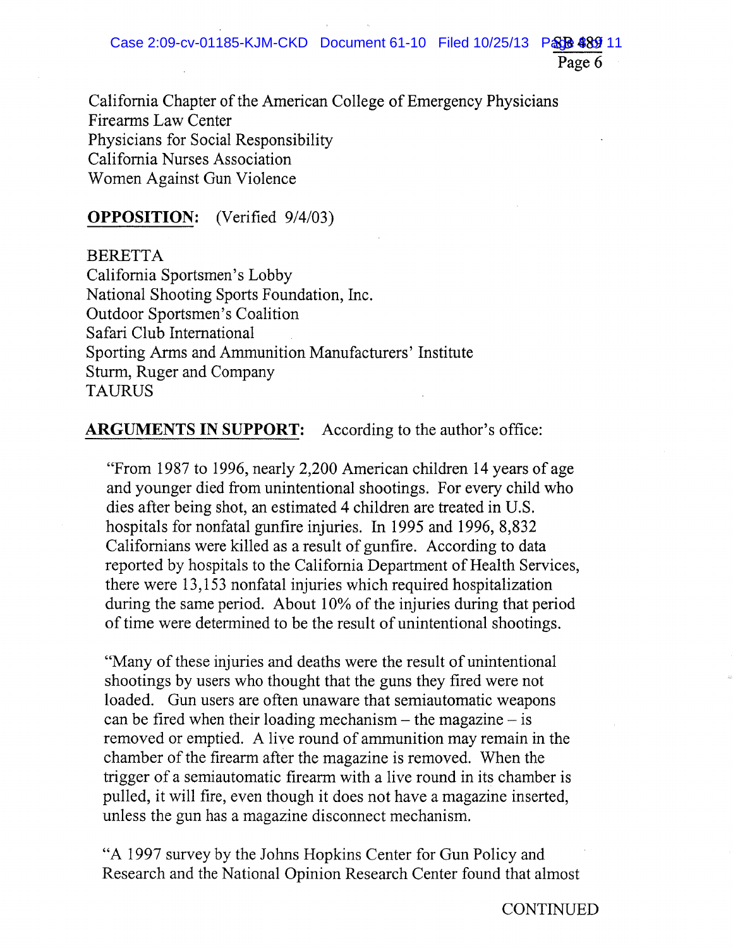California Chapter of the American College of Emergency Physicians Firearms Law Center Physicians for Social Responsibility California Nurses Association Women Against Gun Violence

## **OPPOSITION:** (Verified 9/4/03)

BERETTA California Sportsmen's Lobby National Shooting Sports Foundation, Inc. Outdoor Sportsmen's Coalition Safari Club International Sporting Arms and Ammunition Manufacturers' Institute Sturm, Ruger and Company TAURUS

**ARGUMENTS IN SUPPORT:** According to the author's office:

"From 1987 to 1996, nearly 2,200 American children 14 years of age and younger died from unintentional shootings. For every child who dies after being shot, an estimated 4 children are treated in U.S. hospitals for nonfatal gunfire injuries. In 1995 and 1996, 8,832 Californians were killed as a result of gunfire. According to data reported by hospitals to the California Department of Health Services, there were 13,153 nonfatal injuries which required hospitalization during the same period. About 10% of the injuries during that period of time were determined to be the result of unintentional shootings.

"Many of these injuries and deaths were the result of unintentional shootings by users who thought that the guns they fired were not loaded. Gun users are often unaware that semiautomatic weapons can be fired when their loading mechanism  $-$  the magazine  $-$  is removed or emptied. A live round of ammunition may remain in the chamber of the firearm after the magazine is removed. When the trigger of a semiautomatic firearm with a live round in its chamber is pulled, it will fire, even though it does not have a magazine inserted, unless the gun has a magazine disconnect mechanism.

"A 1997 survey by the Johns Hopkins Center for Gun Policy and Research and the National Opinion Research Center found that almost

Page 6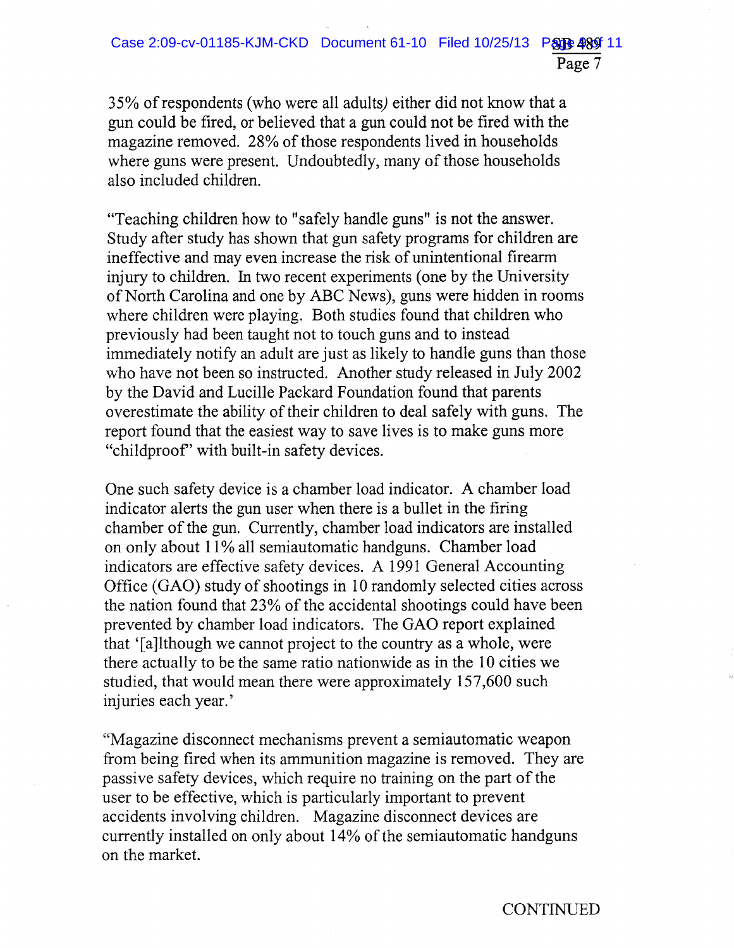35% ofrespondents (who were all adults) either did not know that a gun could be fired, or believed that a gun could not be fired with the magazine removed. 28% of those respondents lived in households where guns were present. Undoubtedly, many of those households also included children.

"Teaching children how to "safely handle guns" is not the answer. Study after study has shown that gun safety programs for children are ineffective and may even increase the risk of unintentional firearm injury to children. In two recent experiments (one by the University of North Carolina and one by ABC News), guns were hidden in rooms where children were playing. Both studies found that children who previously had been taught not to touch guns and to instead immediately notify an adult are just as likely to handle guns than those who have not been so instructed. Another study released in July 2002 by the David and Lucille Packard Foundation found that parents overestimate the ability of their children to deal safely with guns. The report found that the easiest way to save lives is to make guns more "childproof' with built-in safety devices.

One such safety device is a chamber load indicator. A chamber load indicator alerts the gun user when there is a bullet in the firing chamber of the gun. Currently, chamber load indicators are installed on only about 11% all semiautomatic handguns. Chamber load indicators are effective safety devices. A 1991 General Accounting Office (GAO) study of shootings in 10 randomly selected cities across the nation found that  $23\%$  of the accidental shootings could have been prevented by chamber load indicators. The GAO report explained that '[a]lthough we cannot project to the country as a whole, were there actually to be the same ratio nationwide as in the 10 cities we studied, that would mean there were approximately 157,600 such injuries each year. '

"Magazine disconnect mechanisms prevent a semiautomatic weapon from being fired when its ammunition magazine is removed. They are passive safety devices, which require no training on the part of the user to be effective, which is particularly important to prevent accidents involving children. Magazine disconnect devices are currently installed on only about 14% of the semiautomatic handguns on the market.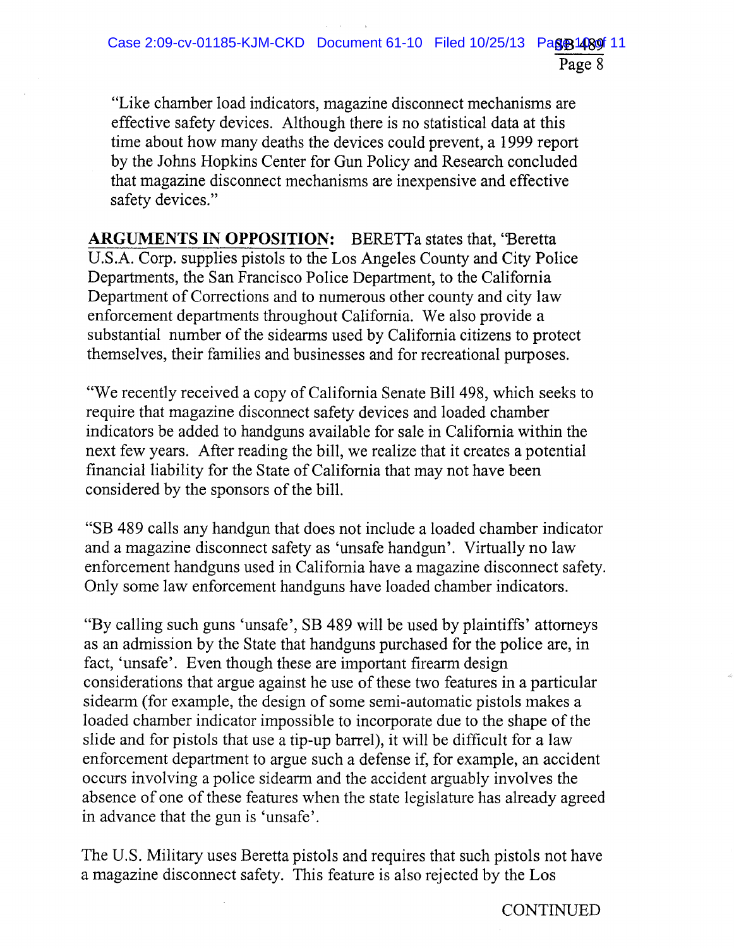"Like chamber load indicators, magazine disconnect mechanisms are effective safety devices. Although there is no statistical data at this time about how many deaths the devices could prevent, a 1999 report by the Johns Hopkins Center for Gun Policy and Research concluded that magazine disconnect mechanisms are inexpensive and effective safety devices."

**ARGUMENTS IN OPPOSITION:** BERETTa states that, ''Beretta U.S.A. Corp. supplies pistols to the Los Angeles County and City Police Departments, the San Francisco Police Department, to the California Department of Corrections and to numerous other county and city law enforcement departments throughout California. We also provide a substantial number of the sidearms used by California citizens to protect themselves, their families and businesses and for recreational purposes.

"We recently received a copy of California Senate Bill 498, which seeks to require that magazine disconnect safety devices and loaded chamber indicators be added to handguns available for sale in California within the next few years. After reading the bill, we realize that it creates a potential financial liability for the State of California that may not have been considered by the sponsors of the bill.

"SB 489 calls any handgun that does not include a loaded chamber indicator and a magazine disconnect safety as 'unsafe handgun'. Virtually no law enforcement handguns used in California have a magazine disconnect safety. Only some law enforcement handguns have loaded chamber indicators.

"By calling such guns 'unsafe', SB 489 will be used by plaintiffs' attorneys as an admission by the State that handguns purchased for the police are, in fact, 'unsafe'. Even though these are important firearm design considerations that argue against he use of these two features in a particular sidearm (for example, the design of some semi-automatic pistols makes a loaded chamber indicator impossible to incorporate due to the shape of the slide and for pistols that use a tip-up barrel), it will be difficult for a law enforcement department to argue such a defense if, for example, an accident occurs involving a police sidearm and the accident arguably involves the absence of one of these features when the state legislature has already agreed in advance that the gun is 'unsafe'.

The U.S. Military uses Beretta pistols and requires that such pistols not have a magazine disconnect safety. This feature is also rejected by the Los